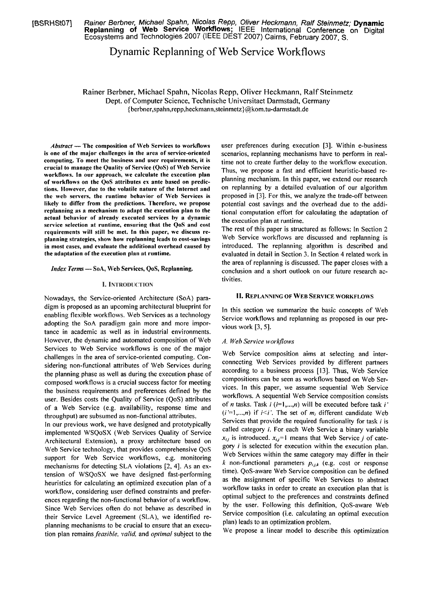**[BSRHS~~]** Rainer Berbner, Michael Spahn, Nicolas Repp, Oliver Heckmann, Ralf Steinmetz; **Dynamic Replanning of Web Service Workflows;** IEEE International Conference on Digital Ecosystems and Technologies 2007 (IEEE DEST 2007) Cairns, February 2007, **S.** 

# Dynamic Replanning of Web Service Workflows

Rainer Berbner, Michael Spahn, Nicolas Repp, Oliver Heckmann, Ralf Steinmetz Dept. of Computer Science, Technische Universitaet Darmstadt, Germany {berbner,spahn,repp,heckniann,steinmetz)@kom.tu-darmstadt.de

**Abslrnct** - **The composition of Web Sewices to workflows**  is one of the major challenges in the area of service-oriented computing. To meet the business and user requirements, it is **crucial to manage the Quality of Sewice (QoS) of Web Service**  workflows. In our approach, we calculate the execution plan **of workflows on the QoS attrihutes ex ante based on predic**tions. However, due to the volatile nature of the Internet and the web servers, the runtime behavior of Web Services is likely to differ from the predictions. Therefore, we propose **replanning as a mechanism to adapt the execution plan to the**  actual behavior of already executed services by a dynamic service selection at runtime, ensuring that the QoS and cost requirements will still be met. In this paper, we discuss re**planning strategies, sliow how replanning leads to cost-savings**  in most cases, and evaluate the additional overhead caused by **the adaptation of the execution plan at runtime.** 

Index Terms - SoA, Web Services, QoS, Replanning.

#### **I. INTRODUCTION**

Nowadays, the Service-oriented Architecture (SoA) paradigm is proposed as an upcoming architectural blueprint for enabling flexible workflows. Web Services as a technology adopting the SoA paradigm gain more and more importance in academic as well as in industrial environments. However, the dynamic and automated composition of Web Services to Web Service workflows is one of the major challenges in the area of service-oriented computing. Considering non-functional attributes of Web Services during the planning phase as well as during the execution phase of composed workflows is a crucial success factor for meeting the business requirements and preferences defined by the user. Besides costs the Quality of Service (QoS) attributes of a Web Service (e.g. availability, response time and throughput) are subsumed as non-functional attributes.

In our previous work, we have designed and prototypically implemented WSQoSX (Web Services Quality of Service Architectural Extension), a proxy architecture based on Web Service technology, that provides comprehensive QoS support for Web Service workflows, e.g. monitoring mechanisms for detecting SLA violations [2, **41.** As an extension of WSQoSX we have designed fast-performing heuristics for calculating an optimized execution plan of a workflow, considering user defined constraints and preferences regarding the non-functional behavior of a workflow. Since Web Services often do not beliave as described in their Service Level Agreement (SLA), we identified replanning mechanisms to be crucial to ensure that an execution plan remains *feasible*, valid, and optimal subject to the user preferences during execution [3]. Within e-business scenarios, replanning mechanisms have to perform in realtime not to create further delay to the workflow execution. Thus, we propose a fast and efficient heuristic-based replanning mechanism. In this paper, we extend our research on replanning by a detailed evaluation of our algorithm proposed in *[3].* For this, we analyze the trade-off between potential cost savings and the overhead due to the additional computation effort for calculating the adaptation of the execution plan at runtime.

The rest of this paper is structured as follows: In Section 2 Web Service workflows are discussed and replanning is introduced. The replanning algorithm is described and evaluated in detail in Section 3. In Section 4 related work in the area of replanning is discussed. The paper closes with a conclusion and a short outlook on our future research activities.

#### **11. REPLANNING OF WEB SERVICE WORKFLOWS**

In this section we summarize the basic concepts of Web Service workflows and replanning as proposed in our previous work [3, **51.** 

#### A. Web Service workflows

Web Service composition aims at selecting and interconnecting Web Services provided by different partners according to a business process [13]. Thus, Web Service compositions can be seen as workflows based on Web Services. In this paper, we assume sequential Web Service workflows. A sequential Web Service composition consists of *n* tasks. Task  $i$  ( $i=1,...,n$ ) will be executed before task  $i'$  $(i=1,...,n)$  if  $i\leq i'$ . The set of  $m_i$  different candidate Web Services that provide the required functionality for task i is called category i. For each Web Service a binary variable  $x_{i,j}$  is introduced.  $x_{i,j}=1$  means that Web Service, *i* of category i is selected for execution within the execution plan. Web Services within the same category may differ in their k non-functional parameters  $p_{i,j,k}$  (e.g. cost or response time). QoS-aware Web Service composition can be defined as the assignment of specific Web Services to abstract workflow tasks in order to create an execution plan that is optimal subject to the preferences and constraints defined by the user. Following this definition, QoS-aware Web Service composition (i.e. calculating an optimal execution plan) leads to an optimization problem.

We propose a linear model to describe this optimization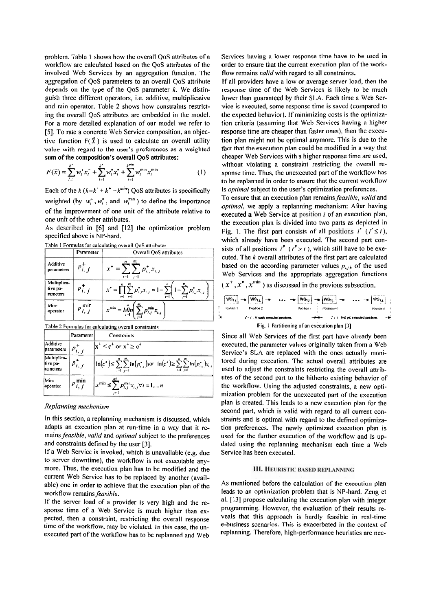involved Web Services by an aggregation function. The flow remains valid with regard to all constraints. aggregation of QoS parameters to an overall QoS attribute If all providers have a low or average server load, then the depends on the type of the QoS parameter  $k$ . We distin-<br>response time of the Web Services is likely t depends on the type of the QoS parameter  $k$ . We distinguish three different operators, i.e. additive, multiplicative and min-operator. Table 2 shows how constraints restrict- vice is executed, some response time is saved (compared to For a more detailed explanation of our model we refer to value with regard to the user's preferences as a weighted

$$
F(\vec{x}) = \sum_{l=1}^{k^*} w_l^+ x_l^+ + \sum_{l=1}^{k^*} w_l^* x_l^+ + \sum_{l=1}^{k^{min}} w_l^{min} x_l^{min}
$$
 (1)

Each of the  $k$  ( $k=k^*+ k^*+F^{min}$ ) QoS attributes is specifically is *optimal* subject to the user's optimization preferences.<br>To ensure that an execution plan remains *feasible*, *valid* and weighted (by  $w_i^+$ ,  $w_i^*$ , and  $w_i^{\text{min}}$ ) to define the importance  $\frac{10 \text{ ensure that an execution plan remains }{\text{year}}}{\text{optimal}}$ , we apply a replanning mechanism: After having of the improvement of one unit of the attribute relative to<br>one unit of the other attributes.<br>the execution plan is divided into two parts as depicted in

Table 1 Formulas for calculating overall OoS attributes

|                                     | Parameter        | Overall OoS attributes                                                                                                                |
|-------------------------------------|------------------|---------------------------------------------------------------------------------------------------------------------------------------|
| Additive<br>parameters              | $P_{i,1}$        | $=\sum_{i} \sum_{i} p_{i,j}^{+} x_{i,j}$<br>$(7 - 1 - 17)$                                                                            |
| Multiplica-<br>tive pa-<br>rameters | $P_{i,j}$        | $x^* = \prod_{i=1}^n \sum_{j=1}^{m_i} p_{i,j}^* x_{i,j} \approx 1 - \sum_{i=1}^n \left(1 - \sum_{j=1}^{m_i} p_{i,j}^* x_{i,j}\right)$ |
| Min-<br>operator                    | $p_{i,j}^{\min}$ | $x^{\min}$ = $\lim_{i=1}^n \sum_{i=1}^{m_i} p_{i,j}^{\min} x_{i,j}$                                                                   |

|                                     | Parameter           | Constraints                                                                                                                                                                         |
|-------------------------------------|---------------------|-------------------------------------------------------------------------------------------------------------------------------------------------------------------------------------|
| Additive<br>parameters              |                     | $x^* \leq c^*$ or $x^* \geq c^*$                                                                                                                                                    |
| Multiplica-<br>tive pa-<br>rameters | $p_{i,j}^{\bullet}$ | $\left \ln(c^*) \leq \sum_{i=1}^n \sum_{j=1}^{m_i} \ln(p_{i,j}^*)\right $ or $\ln(c^*) \geq \sum_{i=1}^n \sum_{j=1}^{m_i} \ln(p_{i,j}^*)x_{i,j}$<br>$\sqrt{1}$ $\sqrt{1}$<br>اعتاده |
| Min-<br>operator                    | min<br>D<br>i, j    | $x^{\min} \leq \sum_{i}^{\infty} p_{i,j}^{\min} x_{i,j} \forall i = 1,,n$                                                                                                           |

## Replanning mechanism

In this section, a replanning mechanism is discussed, which adapts an execution plan at run-time in a way that it remains feasible, valid and optimal subject to the preferences and constraints defined by the user [3].

If a Web Service is invoked, which is unavailable (e.g. due to server downtime), the workflow is not executable anymore. Thus, the execution plan has to be modified and the current Web Service has to be replaced by another (available) one in order to achieve that the execution plan of the workflow remains feasible.

If the server load of a provider is very high and the response time of a Web Service is much higher than expected, then a constraint, restricting the overall response time of the workflow, may be violated. In this case, the unexecuted part of the workflow has to be replanned and Web

problem. Table 1 shows how the overall QoS attributes of a Services having a lower response time have to be used in workflow are calculated based on the QoS attributes of the order to ensure that the current execution plan of the work-

lower than guaranteed by their SLA. Each time a Web Sering the overall QoS attributes are embedded in the model. the expected behavior). If minimizing costs is the optimiza-<br>For a more detailed explanation of our model we refer to tion criteria (assuming that Web Services havi [5]. To rate a concrete Web Service composition, an objec-<br>tive function  $F(\bar{x})$  is used to calculate an overall utility tion plan might not be optimal anymore. This is due to the tive function  $F(\bar{x})$  is used to calculate an overall utility tion plan might not be optimal anymore. This is due to the value with regard to the user's preferences as a weighted fact that the execution plan could be modi sum of the composition's overall QoS attributes: cheaper Web Services with a higher response time are used, without violating a constraint restricting the overall response time. Thus, the unexecuted part of the workflow has to be replanned in order to ensure that the current workflow

one unit of the other attributes.<br>As described in [6] and [12] the optimization problem  $\frac{1}{\pi}$  and the first part consists of all positions if  $f(s)$ As described in [6] and [12] the optimization problem Fig. 1. The first part consists of all positions  $i'$  ( $i' \le i$ ), specified above is NP-hard. Which already have been executed. The second part consists of all positions  $i''$  ( $i'' > i$ ), which still have to be executed. The k overall attributes of the first part are calculated based on the according parameter values  $p_{i,j,k}$  of the used Web Services and the appropriate aggregation functions

 $(x^*, x^*, x^{\text{min}})$  as discussed in the previous subsection.



plan is created. This leads to a new execution plan for the second part, which is valid with regard to all current constraints and is optimal with regard to the defined optimization preferences. The newly optimized execution plan is used for the further execution of the workflow and is updated using the replanning mechanism each time a Web Service has been executed. Since all Web Services of the first part have already been executed, the parameter values originally taken from a Web Service's SLA are replaced with the ones actually monitored during execution. The actual overall attributes are used to adjust the constraints restricting the overall attributes of the second part to the hitherto existing behavior of the workflow. Using the adjusted constraints, a new optimization problem for the unexecuted part of the execution

# **III. HEURISTIC BASED REPLANNING**

As mentioned before the calculation of the execution plan leads to an optimization problem that is NP-hard. Zeng et al. [13] propose calculating the execution plan with integer programming. However, the evaluation of their results reveals that this approach is hardly feasible in real-time e-business scenarios. This is exacerbeted in the context of replanning. Therefore, high-performance heuristics are nec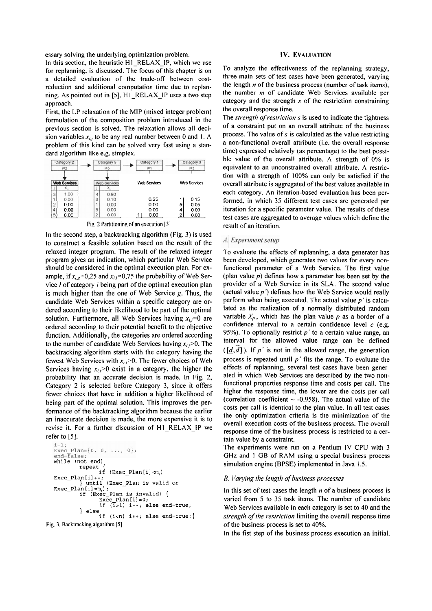essary solving the underlying optimization problem.

In this section, the heuristic  $H1$ -RELAX-IP, which we use for replanning, is discussed. The focus of this chapter is on a detailed evaluation of the trade-off between costreduction and additional computation time due to replanning. As pointed out in [5], H1\_RELAX\_IP uses a two step approach.

First, the LP relaxation of the MIP (mixed integer probleni) formulation of the composition problem introduced in the previous section is solved. The relaxation allows all decision variables  $x_{i,j}$  to be any real number between 0 and 1. A problem of this kind can be solved very fast using a standard algorithm like e.g. simplex.





In the second step, a backtracking algorithm (Fig. 3) is used to construct a feasible solution based on the result of the relaxed integer program. The result of the relaxed integer program gives an indication, which particular Web Service should be considered in the optimal execution plan. For example, if  $x_{i,g}=0.25$  and  $x_{i,f}=0.75$  the probability of Web Service I of category **i** being part of the optimal execution plan is much higher than the one of Web Service  $g$ . Thus, the candidate Web Services within a specific category are ordered according to their likelihood to be part of the optimal solution. Furthermore, all Web Services having  $x_{i,j}=0$  are ordered according to their potential benefit to the objective function. Additionally, the categories are ordered according to the number of candidate Web Services having  $x_{i,j}$  > 0. The backtracking algorithm Starts with the category having the fewest Web Services with  $x_{i,j}$ >0. The fewer choices of Web Services having  $x_{i,j}$ >0 exist in a category, the higher the probability that an accurate decision is made. In Fig. 2, Category 2 is selected before Category **3,** since it offers fewer choices that have in addition a higher likelihood of being part of the optimal solution. This improves the performance of the backtracking algorithm because the earlier an inaccurate decision is made, the more expensive it is to revise it. For a further discussion of HI-RELAX-IP we refer to [5].

```
i=1;<br>Exec_Plan={0, 0, ..., 0};
while (not end) 
           repeat ( 
if (Exec-Plan [il cm,) 
Exec_Plan [i]++;<br>} until (Exec_Plan is valid or
} until (Exec-Plan is valid or Exec-Plan [il =m,) ; 
if (Exec-Plan is invalid) { 
                  Exec-Plan [i] =O; 
                  if (i>l) i--; else end=true; 
           ) else 
if (i<n) ii+; else end=true;)
```
Fig. 3. Backtracking algorithm [5]

# **IV. EVALUATION**

To analyze the effectiveness of the replanning strategy, three main Sets of test cases have been generated, varying the length **n** of the business process (number of task items), the number **m** of candidate Web Services available per category and the strength **s** of the restriction constraining the overall response time.

The *strength of restriction s* is used to indicate the tightness of a constraint put on an overall attribute of the business process. The value of **s** is calculated as the value restricting a non-functional overall attribute (i.e. the overall response time) expressed relatively (as percentage) to the best possible value of the overall attribute. A strength of 0% is equivalent to an unconstrained overall attribute. A restriction with a strength of 100% can only be satisfied if the overall attribute is aggregated of the best values available in each category. An iteration-based evaluation has been performed, in which 35 different test cases are generated per iteration for a specific parameter value. The results of these test cases are aggregated to average values which define the result of an iteration.

#### A. Experiment setup

To evaluate the effects of replanning, a data generator has been developed, which generates two values for every nonfunctional parameter of a Web Service. The first value (plan value **p)** defines how a parameter has been set by the provider of a Web Service in its SLA. The second value (actual value  $p<sup>3</sup>$ ) defines how the Web Service would really perform when being executed. The actual value  $p'$  is calculated as the realization of a normally distributed random variable  $X_p$ , which has the plan value p as a border of a confidence interval to a certain confidence level  $c$  (e.g. 95%). To optionally restrict **p'** to a certain value range, an interval for the allowed value range can be defined  $([d,d])$ . If  $p'$  is not in the allowed range, the generation process is repeated until **p'** fits the range. To evaluate the effects of replanning, several test cases have been generated in which Web Services are described by the two nonfunctional properties response time and costs per call. The higher the response time, the lower are the costs per call (correlation coefficient  $\sim$  -0.958). The actual value of the costs per call is identical to the plan value. In all test cases the only optimization criteria is the minimization of the overall execution costs of the business process. The overall response time of the business process is restricted to a certain value by a constraint.

The experiments were run on a Pentium IV CPU with 3 GHz and 1 GB of RAM using a special business process simulation engine (BPSE) implemented in Java 1.5.

#### B. Varying the length of business processes

In this set of test cases the length **n** of a business process is varied from **5** to 35 task items. The number of candidate Web Services available in each category is set to 40 and the strength of the restriction limiting the overall response time of the business process is set to 40%.

In the fist step of the business process execution an initial.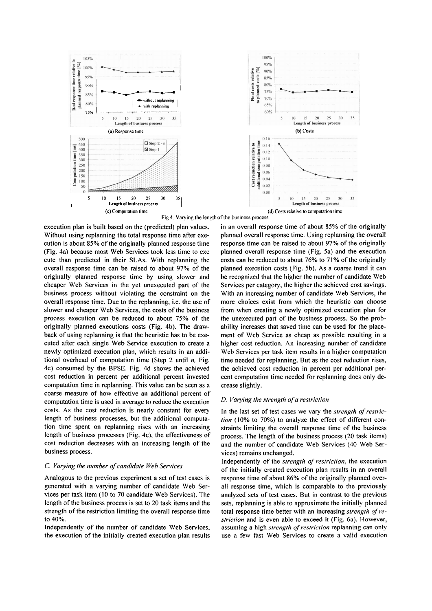





execution plan is built based on the (predicted) plan values. Without using replanning the total response time after execution is about 85% of the originally planned response time (Fig. 4a) because most Web Services took less time to exe cute than predicted in their SLAs. With replanning the overall response time can be raised to about 97% of the originally planned response time by using slower and cheaper Web Services in the yet unexecuted part of the business process without violating the constraint on the overall response time. Due to the replanning, i.e. the use of slower and cheaper Web Services, the costs of the business process execution can be reduced to about 75% of the originally planned executions costs (Fig. 4b). The drawback of using replanning is that the heuristic has to be executed after each single Web Service execution to create a newly optimized execution plan, which results in an additional overhead of computation time (Step 2 until **n,** Fig. 4c) consumed by the BPSE. Fig. 4d shows the achieved cost reduction in percent per additional percent invested computation time in replanning. This value can be seen as a coarse measure of how effective an additional percent of computation time is used in average to reduce the execution costs. As the cost reduction is nearly constant for every length of business processes, but the additional computation time spent on replanning rises with an increasing length of business processes (Fig. 4c), the effectiveness of cost reduction decreases with an increasing length of the business process.

## *C. Varying the number of candidate Web Services*

Analogous to the previous experiment a set of test cases is generated with a varying number of candidate Web Services per task item (I0 to 70 candidate Web Services). The length of the business process is Set to 20 task items and the strength of the restriction limiting the overall response time to 40%.

Independently of the number of candidate Web Services, the execution of the initially created execution plan results in an overall response time of about 85% of the originally planned overall response time. Using replanning the overall response time can be raised to about 97% of the originally planned overall response time (Fig. 5a) and the execution costs can be reduced to about 76% to 71% of the originally planned execution costs (Fig. 5b). As a coarse trend it can be recognized that the higher the number of candidate Web Services per category, the higher the achieved cost savings. With an increasing number of candidate Web Services, the more choices exist from which the heuristic can choose from when creating a newly optimized execution plan for the unexecuted part of the business process. So the probability increases that saved time can be used for the placement of Web Service as cheap as possible resulting in a higher cost reduction. An increasing number of candidate Web Services per task item results in a higher computation time needed for replanning. But as the cost reduction rises, the achieved cost reduction in percent per additional percent computation time needed for replanning does only decrease slightly.

# *D. Varying the strength of a restriction*

In the last set of test cases we vary the *strength of restriction* (10% to 70%) to analyze the effect of different constraints limiting the overall response time of the business process. The length of the business process (20 task items) and the number of candidate Web Services (40 Web Services) remains unchanged.

lndependently of the *strcrigth of resfricfion,* the execution of the initially created execution plan results in an overall response time of about 86% of the originally planned overall response time, which is comparable to the previously analyzed sets of test cases. But in contrast to the previous sets, replanning is able to approximate the initially planned total response time better with an increasing *strength of reslriction* and is even able to exceed it (Fig. 6a). However, assuming a high *strength of restriction* replanning can only use a few fast Web Services to create a valid execution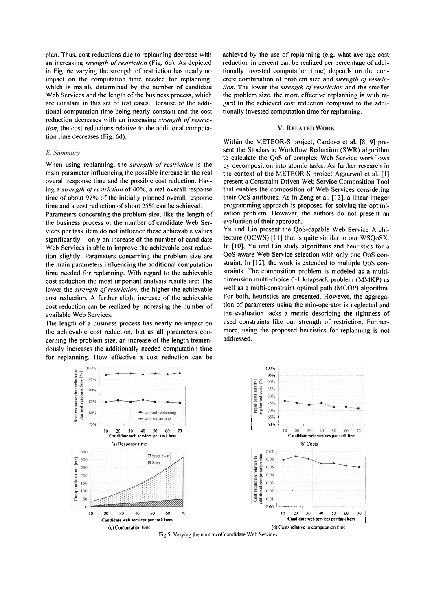plan. Thus, cost reductions due to replanning decrease with an increasing *strength* of *restriction* (Fig. Gb). As depicted in Fig. 6c varying the strength of restriction has nearly no impact on the computation time needed for replanning, which is mainly determined by the number of candidate Web Services and the length of the business process, which are constant in this set of test cases. Because of the additional computation time being nearly constant and the cost reduction decreases with an increasing *strength* of *restriction*, the cost reductions relative to the additional computation time decreases (Fig. Gd).

# E. Summary

When using replanning, the *strength of restriction* is the main parameter influencing the possible increase in the real overall response time and the possible cost reduction. Having a *strength* of *restriction* of 40%, a real overall response time of about 97% of the initially planned overall response time and a cost reduction of about *25%* can be achieved.

Parameters concerning the problem size, like the length of the business process or the number of candidate Web Services per task item do not influence these achievable values significantly  $-$  only an increase of the number of candidate Web Services is able to improve the achievable cost reduction slightly. Parameters concerning the problem size are the main parameters influencing the additional computation time needed for replanning. With regard to the achievable cost reduction the most important analysis results are: The lower the *strength of restriction*, the higher the achievable cost reduction. A further slight increase of the achievable cost reduction can be realized by increasing the number of available Web Services.

The length of a business process has nearly no impact on the achievable cost reduction, but as all parameters concerning the problem size, an increase of the length tremendously increases the additionally needed computation time for replanning. How effective a cost reduction can be

achieved by the use of replanning (e.g. what average cost reduction in percent can be realized per percentage of additionally invested computation time) depends on the concrete combination of problem size and *slrength of restriction.* The lower the *strength* **of** *restriction* and the smaller the problem size, the more effective replanning is with regard to the achieved cost reduction compared to the additionally invested computation time for replanning.

#### V. RELATED WORK

Within the METEOR-S project, Cardoso et al. [8, 91 present the Stochastic Workflow Reduction (SWR) algorithm to calciilate the QoS of complex Web Service workflows by decomposition into atomic tasks. As further research in the context of the METEOR-S project Agganval et al. [I] present a Constraint Driven Web Service Composition Tool that enables the composition of Web Services considering their QoS attributes. As in Zeng et al. [13], a linear integer programming approach is proposed for solving the optimization problem. However, the authors do not present an evaluation of their approach.

Yu und Lin present the QoS-capable Web Service Architecture (QCWS) [I I] that is quite similar to our WSQoSX. In [IO], Yu und Lin study algorithms and heuristics for a QoS-aware Web Service selection with only one QoS constraint. In [12], the work is extended to multiple QoS constraints. The composition problem is modeled **as** a multidimension multi-choice 0-1 knapsack problem (MMKP) as well as a multi-constraint optimal path (MCOP) algorithm. For both, heuristics are presented. However, the aggregation of parameters using the min-operator is neglected and the evaluation lacks a metric describing the tightness of used constraints like our strength of restriction. Furthermore, using the proposed heuristics for replanning is not addressed.



Fig **5. Varying the numbcr of candidate Web Services**